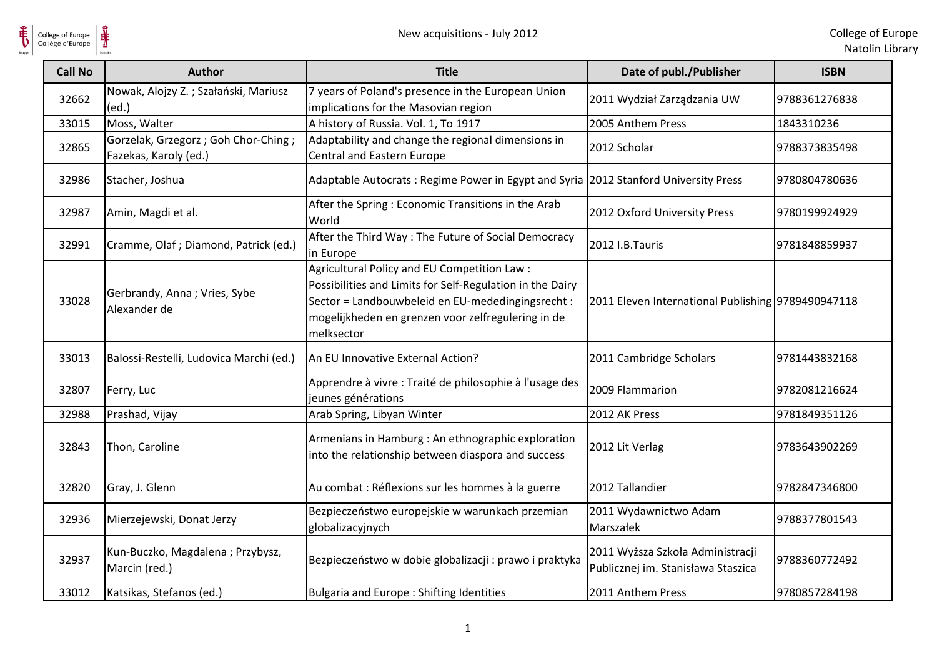

 $\frac{1}{\frac{1}{\sqrt{2}}}\sum_{\text{National}}$ 

| <b>Call No</b> | <b>Author</b>                                                  | <b>Title</b>                                                                                                                                                                                                                      | Date of publ./Publisher                                                | <b>ISBN</b>   |
|----------------|----------------------------------------------------------------|-----------------------------------------------------------------------------------------------------------------------------------------------------------------------------------------------------------------------------------|------------------------------------------------------------------------|---------------|
| 32662          | Nowak, Alojzy Z.; Szałański, Mariusz<br>(ed.)                  | 7 years of Poland's presence in the European Union<br>implications for the Masovian region                                                                                                                                        | 2011 Wydział Zarządzania UW                                            | 9788361276838 |
| 33015          | Moss, Walter                                                   | A history of Russia. Vol. 1, To 1917                                                                                                                                                                                              | 2005 Anthem Press                                                      | 1843310236    |
| 32865          | Gorzelak, Grzegorz ; Goh Chor-Ching ;<br>Fazekas, Karoly (ed.) | Adaptability and change the regional dimensions in<br>Central and Eastern Europe                                                                                                                                                  | 2012 Scholar                                                           | 9788373835498 |
| 32986          | Stacher, Joshua                                                | Adaptable Autocrats: Regime Power in Egypt and Syria 2012 Stanford University Press                                                                                                                                               |                                                                        | 9780804780636 |
| 32987          | Amin, Magdi et al.                                             | After the Spring: Economic Transitions in the Arab<br>World                                                                                                                                                                       | 2012 Oxford University Press                                           | 9780199924929 |
| 32991          | Cramme, Olaf; Diamond, Patrick (ed.)                           | After the Third Way: The Future of Social Democracy<br>in Europe                                                                                                                                                                  | 2012 I.B.Tauris                                                        | 9781848859937 |
| 33028          | Gerbrandy, Anna; Vries, Sybe<br>Alexander de                   | Agricultural Policy and EU Competition Law:<br>Possibilities and Limits for Self-Regulation in the Dairy<br>Sector = Landbouwbeleid en EU-mededingingsrecht :<br>mogelijkheden en grenzen voor zelfregulering in de<br>melksector | 2011 Eleven International Publishing 9789490947118                     |               |
| 33013          | Balossi-Restelli, Ludovica Marchi (ed.)                        | An EU Innovative External Action?                                                                                                                                                                                                 | 2011 Cambridge Scholars                                                | 9781443832168 |
| 32807          | Ferry, Luc                                                     | Apprendre à vivre : Traité de philosophie à l'usage des<br>jeunes générations                                                                                                                                                     | 2009 Flammarion                                                        | 9782081216624 |
| 32988          | Prashad, Vijay                                                 | Arab Spring, Libyan Winter                                                                                                                                                                                                        | 2012 AK Press                                                          | 9781849351126 |
| 32843          | Thon, Caroline                                                 | Armenians in Hamburg : An ethnographic exploration<br>into the relationship between diaspora and success                                                                                                                          | 2012 Lit Verlag                                                        | 9783643902269 |
| 32820          | Gray, J. Glenn                                                 | Au combat : Réflexions sur les hommes à la guerre                                                                                                                                                                                 | 2012 Tallandier                                                        | 9782847346800 |
| 32936          | Mierzejewski, Donat Jerzy                                      | Bezpieczeństwo europejskie w warunkach przemian<br>globalizacyjnych                                                                                                                                                               | 2011 Wydawnictwo Adam<br>Marszałek                                     | 9788377801543 |
| 32937          | Kun-Buczko, Magdalena ; Przybysz,<br>Marcin (red.)             | Bezpieczeństwo w dobie globalizacji : prawo i praktyka                                                                                                                                                                            | 2011 Wyższa Szkoła Administracji<br>Publicznej im. Stanisława Staszica | 9788360772492 |
| 33012          | Katsikas, Stefanos (ed.)                                       | Bulgaria and Europe: Shifting Identities                                                                                                                                                                                          | 2011 Anthem Press                                                      | 9780857284198 |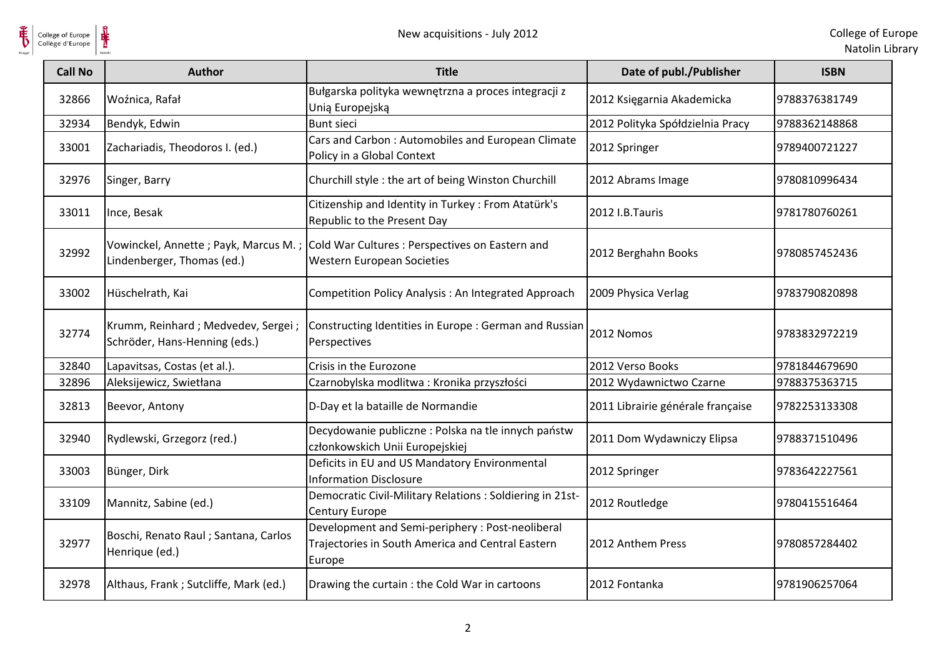

| <b>Call No</b> | <b>Author</b>                                                         | <b>Title</b>                                                                                                         | Date of publ./Publisher           | <b>ISBN</b>   |
|----------------|-----------------------------------------------------------------------|----------------------------------------------------------------------------------------------------------------------|-----------------------------------|---------------|
| 32866          | Woźnica, Rafał                                                        | Bułgarska polityka wewnętrzna a proces integracji z<br>Unią Europejską                                               | 2012 Księgarnia Akademicka        | 9788376381749 |
| 32934          | Bendyk, Edwin                                                         | <b>Bunt sieci</b>                                                                                                    | 2012 Polityka Spółdzielnia Pracy  | 9788362148868 |
| 33001          | Zachariadis, Theodoros I. (ed.)                                       | Cars and Carbon: Automobiles and European Climate<br>Policy in a Global Context                                      | 2012 Springer                     | 9789400721227 |
| 32976          | Singer, Barry                                                         | Churchill style : the art of being Winston Churchill                                                                 | 2012 Abrams Image                 | 9780810996434 |
| 33011          | Ince, Besak                                                           | Citizenship and Identity in Turkey: From Atatürk's<br>Republic to the Present Day                                    | 2012 I.B.Tauris                   | 9781780760261 |
| 32992          | Lindenberger, Thomas (ed.)                                            | Vowinckel, Annette ; Payk, Marcus M. ; Cold War Cultures : Perspectives on Eastern and<br>Western European Societies | 2012 Berghahn Books               | 9780857452436 |
| 33002          | Hüschelrath, Kai                                                      | Competition Policy Analysis: An Integrated Approach                                                                  | 2009 Physica Verlag               | 9783790820898 |
| 32774          | Krumm, Reinhard ; Medvedev, Sergei ;<br>Schröder, Hans-Henning (eds.) | Constructing Identities in Europe : German and Russian<br>Perspectives                                               | 2012 Nomos                        | 9783832972219 |
| 32840          | Lapavitsas, Costas (et al.).                                          | Crisis in the Eurozone                                                                                               | 2012 Verso Books                  | 9781844679690 |
| 32896          | Aleksijewicz, Swietłana                                               | Czarnobylska modlitwa: Kronika przyszłości                                                                           | 2012 Wydawnictwo Czarne           | 9788375363715 |
| 32813          | Beevor, Antony                                                        | D-Day et la bataille de Normandie                                                                                    | 2011 Librairie générale française | 9782253133308 |
| 32940          | Rydlewski, Grzegorz (red.)                                            | Decydowanie publiczne : Polska na tle innych państw<br>członkowskich Unii Europejskiej                               | 2011 Dom Wydawniczy Elipsa        | 9788371510496 |
| 33003          | Bünger, Dirk                                                          | Deficits in EU and US Mandatory Environmental<br><b>Information Disclosure</b>                                       | 2012 Springer                     | 9783642227561 |
| 33109          | Mannitz, Sabine (ed.)                                                 | Democratic Civil-Military Relations : Soldiering in 21st-<br>Century Europe                                          | 2012 Routledge                    | 9780415516464 |
| 32977          | Boschi, Renato Raul ; Santana, Carlos<br>Henrique (ed.)               | Development and Semi-periphery : Post-neoliberal<br>Trajectories in South America and Central Eastern<br>Europe      | 2012 Anthem Press                 | 9780857284402 |
| 32978          | Althaus, Frank; Sutcliffe, Mark (ed.)                                 | Drawing the curtain : the Cold War in cartoons                                                                       | 2012 Fontanka                     | 9781906257064 |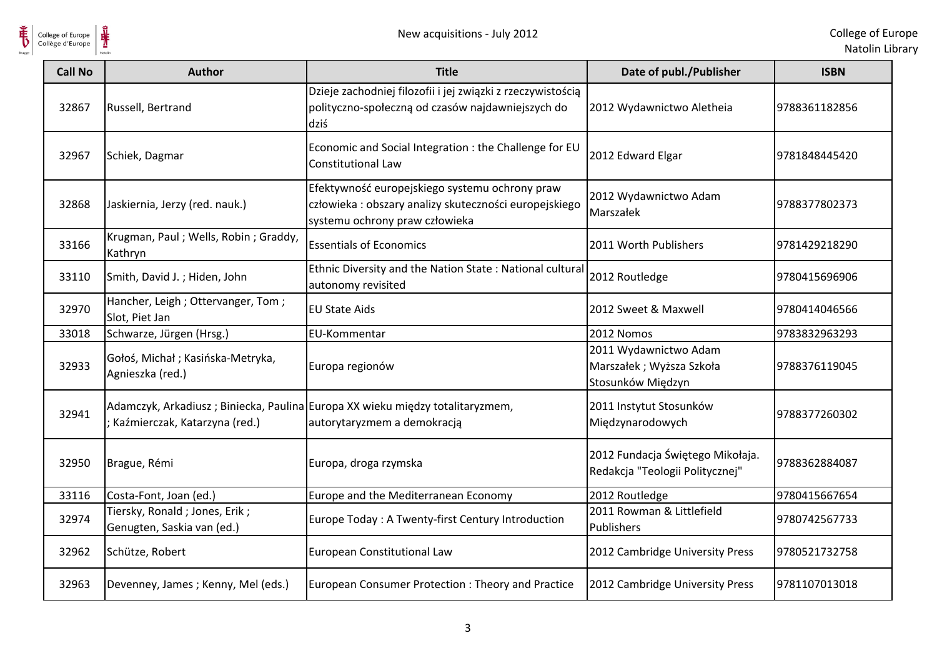

| <b>Call No</b> | <b>Author</b>                                               | <b>Title</b>                                                                                                                               | Date of publ./Publisher                                                | <b>ISBN</b>   |
|----------------|-------------------------------------------------------------|--------------------------------------------------------------------------------------------------------------------------------------------|------------------------------------------------------------------------|---------------|
| 32867          | Russell, Bertrand                                           | Dzieje zachodniej filozofii i jej związki z rzeczywistością<br>polityczno-społeczną od czasów najdawniejszych do<br>dziś                   | 2012 Wydawnictwo Aletheia                                              | 9788361182856 |
| 32967          | Schiek, Dagmar                                              | Economic and Social Integration : the Challenge for EU<br><b>Constitutional Law</b>                                                        | 2012 Edward Elgar                                                      | 9781848445420 |
| 32868          | Jaskiernia, Jerzy (red. nauk.)                              | Efektywność europejskiego systemu ochrony praw<br>człowieka : obszary analizy skuteczności europejskiego<br>systemu ochrony praw człowieka | 2012 Wydawnictwo Adam<br>Marszałek                                     | 9788377802373 |
| 33166          | Krugman, Paul; Wells, Robin; Graddy,<br>Kathryn             | <b>Essentials of Economics</b>                                                                                                             | 2011 Worth Publishers                                                  | 9781429218290 |
| 33110          | Smith, David J.; Hiden, John                                | Ethnic Diversity and the Nation State: National cultural<br>autonomy revisited                                                             | 2012 Routledge                                                         | 9780415696906 |
| 32970          | Hancher, Leigh; Ottervanger, Tom;<br>Slot, Piet Jan         | <b>EU State Aids</b>                                                                                                                       | 2012 Sweet & Maxwell                                                   | 9780414046566 |
| 33018          | Schwarze, Jürgen (Hrsg.)                                    | EU-Kommentar                                                                                                                               | 2012 Nomos                                                             | 9783832963293 |
| 32933          | Gołoś, Michał; Kasińska-Metryka,<br>Agnieszka (red.)        | Europa regionów                                                                                                                            | 2011 Wydawnictwo Adam<br>Marszałek; Wyższa Szkoła<br>Stosunków Międzyn | 9788376119045 |
| 32941          | ; Kaźmierczak, Katarzyna (red.)                             | Adamczyk, Arkadiusz; Biniecka, Paulina Europa XX wieku między totalitaryzmem,<br>autorytaryzmem a demokracją                               | 2011 Instytut Stosunków<br>Międzynarodowych                            | 9788377260302 |
| 32950          | Brague, Rémi                                                | Europa, droga rzymska                                                                                                                      | 2012 Fundacja Świętego Mikołaja.<br>Redakcja "Teologii Politycznej"    | 9788362884087 |
| 33116          | Costa-Font, Joan (ed.)                                      | Europe and the Mediterranean Economy                                                                                                       | 2012 Routledge                                                         | 9780415667654 |
| 32974          | Tiersky, Ronald; Jones, Erik;<br>Genugten, Saskia van (ed.) | Europe Today: A Twenty-first Century Introduction                                                                                          | 2011 Rowman & Littlefield<br>Publishers                                | 9780742567733 |
| 32962          | Schütze, Robert                                             | European Constitutional Law                                                                                                                | 2012 Cambridge University Press                                        | 9780521732758 |
| 32963          | Devenney, James; Kenny, Mel (eds.)                          | European Consumer Protection: Theory and Practice                                                                                          | 2012 Cambridge University Press                                        | 9781107013018 |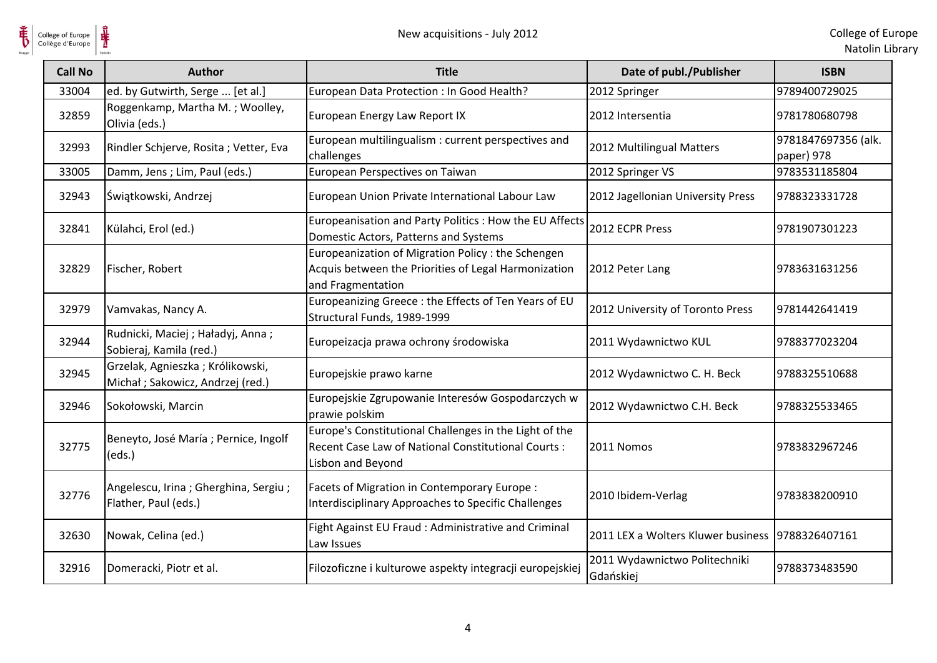**HE** 

| <b>Call No</b> | Author                                                               | <b>Title</b>                                                                                                                       | Date of publ./Publisher                          | <b>ISBN</b>                       |
|----------------|----------------------------------------------------------------------|------------------------------------------------------------------------------------------------------------------------------------|--------------------------------------------------|-----------------------------------|
| 33004          | ed. by Gutwirth, Serge  [et al.]                                     | European Data Protection : In Good Health?                                                                                         | 2012 Springer                                    | 9789400729025                     |
| 32859          | Roggenkamp, Martha M.; Woolley,<br>Olivia (eds.)                     | European Energy Law Report IX                                                                                                      | 2012 Intersentia                                 | 9781780680798                     |
| 32993          | Rindler Schjerve, Rosita; Vetter, Eva                                | European multilingualism : current perspectives and<br>challenges                                                                  | 2012 Multilingual Matters                        | 9781847697356 (alk.<br>paper) 978 |
| 33005          | Damm, Jens; Lim, Paul (eds.)                                         | European Perspectives on Taiwan                                                                                                    | 2012 Springer VS                                 | 9783531185804                     |
| 32943          | Świątkowski, Andrzej                                                 | European Union Private International Labour Law                                                                                    | 2012 Jagellonian University Press                | 9788323331728                     |
| 32841          | Külahci, Erol (ed.)                                                  | Europeanisation and Party Politics : How the EU Affects<br>Domestic Actors, Patterns and Systems                                   | 2012 ECPR Press                                  | 9781907301223                     |
| 32829          | Fischer, Robert                                                      | Europeanization of Migration Policy : the Schengen<br>Acquis between the Priorities of Legal Harmonization<br>and Fragmentation    | 2012 Peter Lang                                  | 9783631631256                     |
| 32979          | Vamvakas, Nancy A.                                                   | Europeanizing Greece: the Effects of Ten Years of EU<br>Structural Funds, 1989-1999                                                | 2012 University of Toronto Press                 | 9781442641419                     |
| 32944          | Rudnicki, Maciej; Haładyj, Anna;<br>Sobieraj, Kamila (red.)          | Europeizacja prawa ochrony środowiska                                                                                              | 2011 Wydawnictwo KUL                             | 9788377023204                     |
| 32945          | Grzelak, Agnieszka; Królikowski,<br>Michał; Sakowicz, Andrzej (red.) | Europejskie prawo karne                                                                                                            | 2012 Wydawnictwo C. H. Beck                      | 9788325510688                     |
| 32946          | Sokołowski, Marcin                                                   | Europejskie Zgrupowanie Interesów Gospodarczych w<br>prawie polskim                                                                | 2012 Wydawnictwo C.H. Beck                       | 9788325533465                     |
| 32775          | Beneyto, José María ; Pernice, Ingolf<br>(eds.)                      | Europe's Constitutional Challenges in the Light of the<br>Recent Case Law of National Constitutional Courts :<br>Lisbon and Beyond | 2011 Nomos                                       | 9783832967246                     |
| 32776          | Angelescu, Irina; Gherghina, Sergiu;<br>Flather, Paul (eds.)         | Facets of Migration in Contemporary Europe :<br>Interdisciplinary Approaches to Specific Challenges                                | 2010 Ibidem-Verlag                               | 9783838200910                     |
| 32630          | Nowak, Celina (ed.)                                                  | Fight Against EU Fraud : Administrative and Criminal<br>Law Issues                                                                 | 2011 LEX a Wolters Kluwer business 9788326407161 |                                   |
| 32916          | Domeracki, Piotr et al.                                              | Filozoficzne i kulturowe aspekty integracji europejskiej                                                                           | 2011 Wydawnictwo Politechniki<br>Gdańskiej       | 9788373483590                     |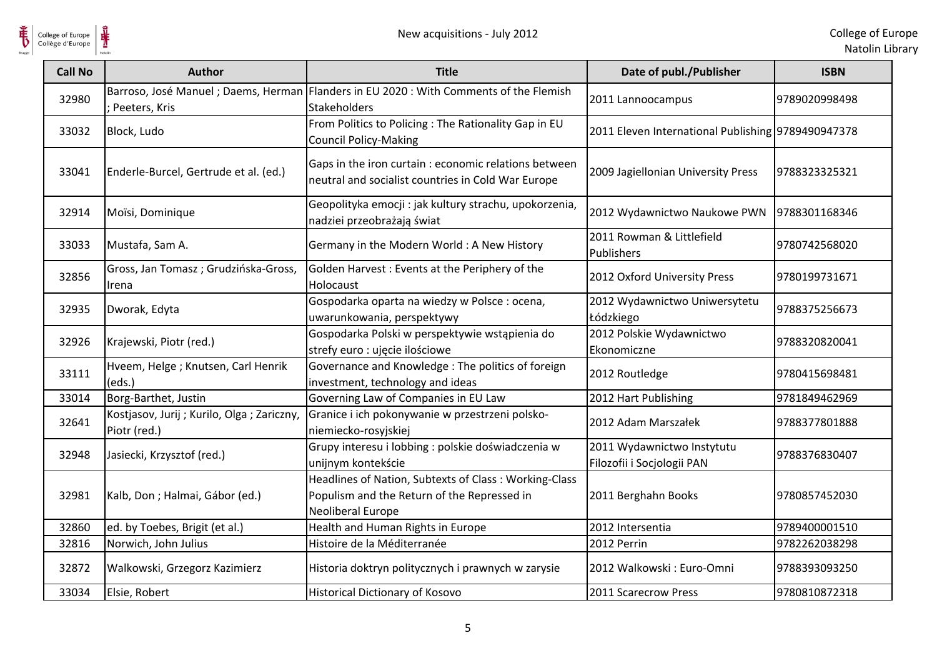

**HE** 

| <b>Call No</b> | <b>Author</b>                                             | <b>Title</b>                                                                                                              | Date of publ./Publisher                                  | <b>ISBN</b>   |
|----------------|-----------------------------------------------------------|---------------------------------------------------------------------------------------------------------------------------|----------------------------------------------------------|---------------|
| 32980          | Peeters, Kris                                             | Barroso, José Manuel; Daems, Herman   Flanders in EU 2020: With Comments of the Flemish<br><b>Stakeholders</b>            | 2011 Lannoocampus                                        | 9789020998498 |
| 33032          | Block, Ludo                                               | From Politics to Policing : The Rationality Gap in EU<br><b>Council Policy-Making</b>                                     | 2011 Eleven International Publishing 9789490947378       |               |
| 33041          | Enderle-Burcel, Gertrude et al. (ed.)                     | Gaps in the iron curtain : economic relations between<br>neutral and socialist countries in Cold War Europe               | 2009 Jagiellonian University Press                       | 9788323325321 |
| 32914          | Moïsi, Dominique                                          | Geopolityka emocji : jak kultury strachu, upokorzenia,<br>nadziei przeobrażają świat                                      | 2012 Wydawnictwo Naukowe PWN                             | 9788301168346 |
| 33033          | Mustafa, Sam A.                                           | Germany in the Modern World: A New History                                                                                | 2011 Rowman & Littlefield<br>Publishers                  | 9780742568020 |
| 32856          | Gross, Jan Tomasz; Grudzińska-Gross,<br>Irena             | Golden Harvest: Events at the Periphery of the<br>Holocaust                                                               | 2012 Oxford University Press                             | 9780199731671 |
| 32935          | Dworak, Edyta                                             | Gospodarka oparta na wiedzy w Polsce : ocena,<br>uwarunkowania, perspektywy                                               | 2012 Wydawnictwo Uniwersytetu<br>Łódzkiego               | 9788375256673 |
| 32926          | Krajewski, Piotr (red.)                                   | Gospodarka Polski w perspektywie wstąpienia do<br>strefy euro : ujęcie ilościowe                                          | 2012 Polskie Wydawnictwo<br>Ekonomiczne                  | 9788320820041 |
| 33111          | Hveem, Helge ; Knutsen, Carl Henrik<br>(eds.)             | Governance and Knowledge: The politics of foreign<br>investment, technology and ideas                                     | 2012 Routledge                                           | 9780415698481 |
| 33014          | Borg-Barthet, Justin                                      | Governing Law of Companies in EU Law                                                                                      | 2012 Hart Publishing                                     | 9781849462969 |
| 32641          | Kostjasov, Jurij; Kurilo, Olga; Zariczny,<br>Piotr (red.) | Granice i ich pokonywanie w przestrzeni polsko-<br>niemiecko-rosyjskiej                                                   | 2012 Adam Marszałek                                      | 9788377801888 |
| 32948          | Jasiecki, Krzysztof (red.)                                | Grupy interesu i lobbing : polskie doświadczenia w<br>unijnym kontekście                                                  | 2011 Wydawnictwo Instytutu<br>Filozofii i Socjologii PAN | 9788376830407 |
| 32981          | Kalb, Don ; Halmai, Gábor (ed.)                           | Headlines of Nation, Subtexts of Class: Working-Class<br>Populism and the Return of the Repressed in<br>Neoliberal Europe | 2011 Berghahn Books                                      | 9780857452030 |
| 32860          | ed. by Toebes, Brigit (et al.)                            | Health and Human Rights in Europe                                                                                         | 2012 Intersentia                                         | 9789400001510 |
| 32816          | Norwich, John Julius                                      | Histoire de la Méditerranée                                                                                               | 2012 Perrin                                              | 9782262038298 |
| 32872          | Walkowski, Grzegorz Kazimierz                             | Historia doktryn politycznych i prawnych w zarysie                                                                        | 2012 Walkowski: Euro-Omni                                | 9788393093250 |
| 33034          | Elsie, Robert                                             | <b>Historical Dictionary of Kosovo</b>                                                                                    | 2011 Scarecrow Press                                     | 9780810872318 |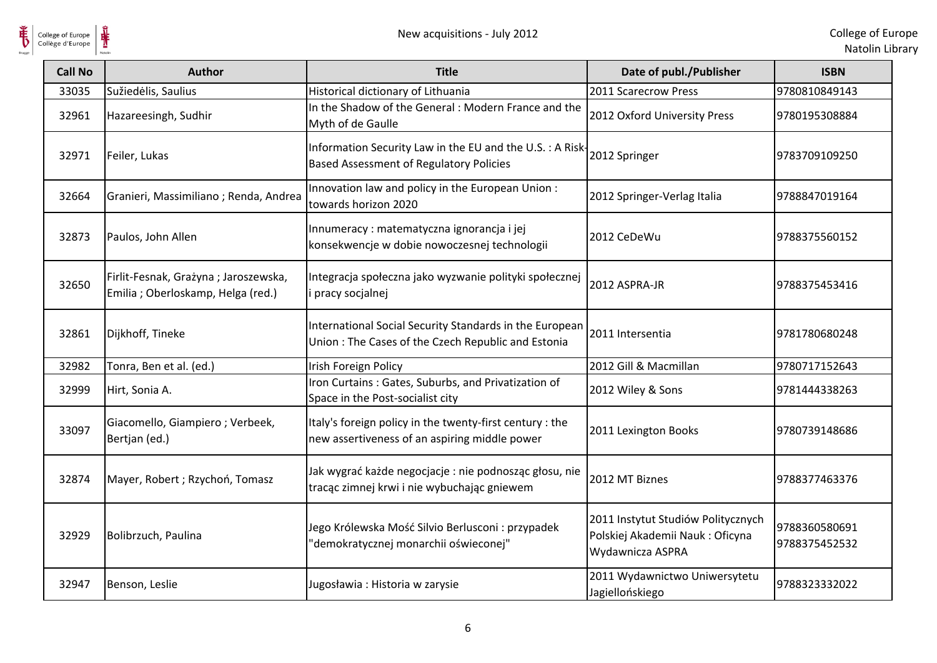

**单** 

| <b>Call No</b> | <b>Author</b>                                                              | <b>Title</b>                                                                                                  | Date of publ./Publisher                                                                   | <b>ISBN</b>                    |
|----------------|----------------------------------------------------------------------------|---------------------------------------------------------------------------------------------------------------|-------------------------------------------------------------------------------------------|--------------------------------|
| 33035          | Sužiedėlis, Saulius                                                        | Historical dictionary of Lithuania                                                                            | 2011 Scarecrow Press                                                                      | 9780810849143                  |
| 32961          | Hazareesingh, Sudhir                                                       | In the Shadow of the General : Modern France and the<br>Myth of de Gaulle                                     | 2012 Oxford University Press                                                              | 9780195308884                  |
| 32971          | Feiler, Lukas                                                              | Information Security Law in the EU and the U.S. : A Risk-<br><b>Based Assessment of Regulatory Policies</b>   | 2012 Springer                                                                             | 9783709109250                  |
| 32664          | Granieri, Massimiliano; Renda, Andrea                                      | Innovation law and policy in the European Union:<br>towards horizon 2020                                      | 2012 Springer-Verlag Italia                                                               | 9788847019164                  |
| 32873          | Paulos, John Allen                                                         | Innumeracy : matematyczna ignorancja i jej<br>konsekwencje w dobie nowoczesnej technologii                    | 2012 CeDeWu                                                                               | 9788375560152                  |
| 32650          | Firlit-Fesnak, Grażyna; Jaroszewska,<br>Emilia ; Oberloskamp, Helga (red.) | Integracja społeczna jako wyzwanie polityki społecznej<br>i pracy socjalnej                                   | 2012 ASPRA-JR                                                                             | 9788375453416                  |
| 32861          | Dijkhoff, Tineke                                                           | International Social Security Standards in the European<br>Union: The Cases of the Czech Republic and Estonia | 2011 Intersentia                                                                          | 9781780680248                  |
| 32982          | Tonra, Ben et al. (ed.)                                                    | Irish Foreign Policy                                                                                          | 2012 Gill & Macmillan                                                                     | 9780717152643                  |
| 32999          | Hirt, Sonia A.                                                             | Iron Curtains: Gates, Suburbs, and Privatization of<br>Space in the Post-socialist city                       | 2012 Wiley & Sons                                                                         | 9781444338263                  |
| 33097          | Giacomello, Giampiero; Verbeek,<br>Bertjan (ed.)                           | Italy's foreign policy in the twenty-first century : the<br>new assertiveness of an aspiring middle power     | 2011 Lexington Books                                                                      | 9780739148686                  |
| 32874          | Mayer, Robert; Rzychoń, Tomasz                                             | Jak wygrać każde negocjacje : nie podnosząc głosu, nie<br>tracąc zimnej krwi i nie wybuchając gniewem         | 2012 MT Biznes                                                                            | 9788377463376                  |
| 32929          | Bolibrzuch, Paulina                                                        | Jego Królewska Mość Silvio Berlusconi : przypadek<br>'demokratycznej monarchii oświeconej"                    | 2011 Instytut Studiów Politycznych<br>Polskiej Akademii Nauk: Oficyna<br>Wydawnicza ASPRA | 9788360580691<br>9788375452532 |
| 32947          | Benson, Leslie                                                             | Jugosławia: Historia w zarysie                                                                                | 2011 Wydawnictwo Uniwersytetu<br>Jagiellońskiego                                          | 9788323332022                  |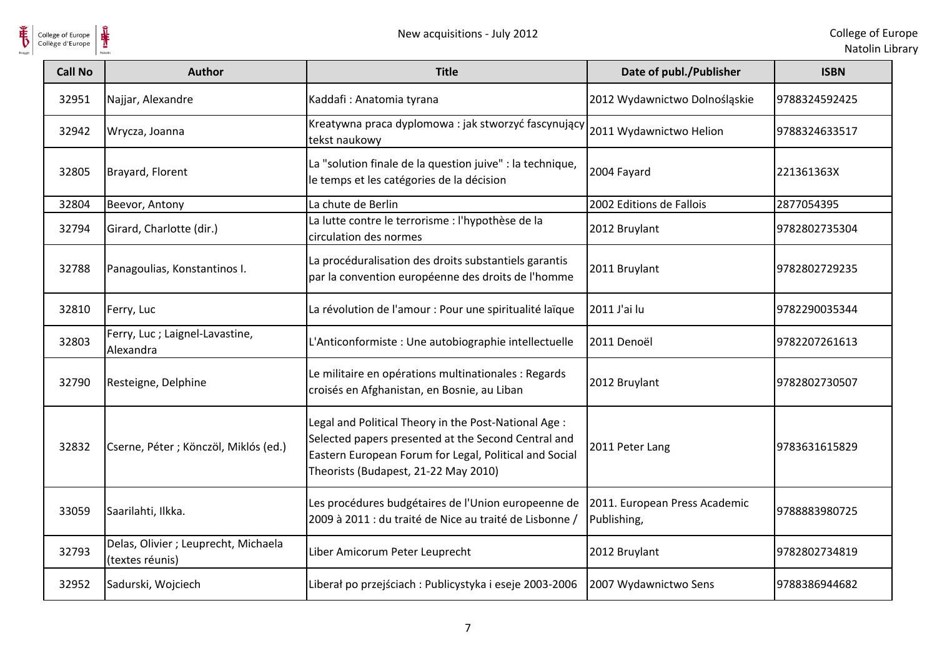

| College of Europe<br>Collège d'Europe | ⋕<br>New acquisitions - July 2012                       |                                                                                                                                                                                                                |                                              | College of Eur<br>Natolin Lib |
|---------------------------------------|---------------------------------------------------------|----------------------------------------------------------------------------------------------------------------------------------------------------------------------------------------------------------------|----------------------------------------------|-------------------------------|
| <b>Call No</b>                        | <b>Author</b>                                           | <b>Title</b>                                                                                                                                                                                                   | Date of publ./Publisher                      | <b>ISBN</b>                   |
| 32951                                 | Najjar, Alexandre                                       | Kaddafi: Anatomia tyrana                                                                                                                                                                                       | 2012 Wydawnictwo Dolnośląskie                | 9788324592425                 |
| 32942                                 | Wrycza, Joanna                                          | Kreatywna praca dyplomowa : jak stworzyć fascynujący<br>tekst naukowy                                                                                                                                          | 2011 Wydawnictwo Helion                      | 9788324633517                 |
| 32805                                 | Brayard, Florent                                        | La "solution finale de la question juive" : la technique,<br>le temps et les catégories de la décision                                                                                                         | 2004 Fayard                                  | 221361363X                    |
| 32804                                 | Beevor, Antony                                          | La chute de Berlin                                                                                                                                                                                             | 2002 Editions de Fallois                     | 2877054395                    |
| 32794                                 | Girard, Charlotte (dir.)                                | La lutte contre le terrorisme : l'hypothèse de la<br>circulation des normes                                                                                                                                    | 2012 Bruylant                                | 9782802735304                 |
| 32788                                 | Panagoulias, Konstantinos I.                            | La procéduralisation des droits substantiels garantis<br>par la convention européenne des droits de l'homme                                                                                                    | 2011 Bruylant                                | 9782802729235                 |
| 32810                                 | Ferry, Luc                                              | La révolution de l'amour : Pour une spiritualité laïque                                                                                                                                                        | 2011 J'ai lu                                 | 9782290035344                 |
| 32803                                 | Ferry, Luc; Laignel-Lavastine,<br>Alexandra             | L'Anticonformiste : Une autobiographie intellectuelle                                                                                                                                                          | 2011 Denoël                                  | 9782207261613                 |
| 32790                                 | Resteigne, Delphine                                     | Le militaire en opérations multinationales : Regards<br>croisés en Afghanistan, en Bosnie, au Liban                                                                                                            | 2012 Bruylant                                | 9782802730507                 |
| 32832                                 | Cserne, Péter ; Könczöl, Miklós (ed.)                   | Legal and Political Theory in the Post-National Age :<br>Selected papers presented at the Second Central and<br>Eastern European Forum for Legal, Political and Social<br>Theorists (Budapest, 21-22 May 2010) | 2011 Peter Lang                              | 9783631615829                 |
| 33059                                 | Saarilahti, Ilkka.                                      | Les procédures budgétaires de l'Union europeenne de<br>2009 à 2011 : du traité de Nice au traité de Lisbonne /                                                                                                 | 2011. European Press Academic<br>Publishing, | 9788883980725                 |
| 32793                                 | Delas, Olivier ; Leuprecht, Michaela<br>(textes réunis) | Liber Amicorum Peter Leuprecht                                                                                                                                                                                 | 2012 Bruylant                                | 9782802734819                 |
| 32952                                 | Sadurski, Wojciech                                      | Liberał po przejściach: Publicystyka i eseje 2003-2006                                                                                                                                                         | 2007 Wydawnictwo Sens                        | 9788386944682                 |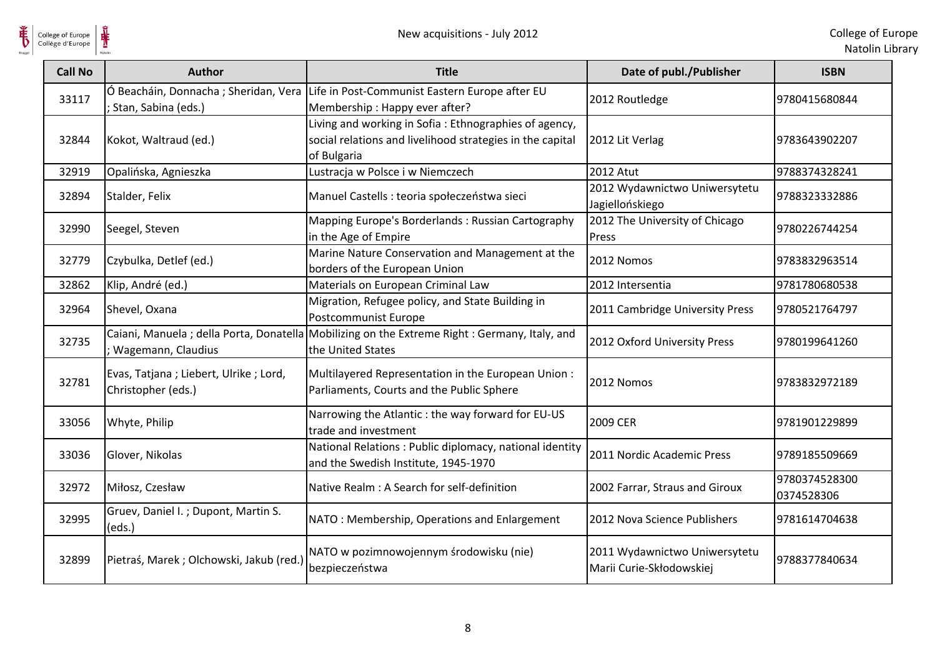

| <b>Call No</b> | <b>Author</b>                                               | <b>Title</b>                                                                                                                      | Date of publ./Publisher                                   | <b>ISBN</b>                 |
|----------------|-------------------------------------------------------------|-----------------------------------------------------------------------------------------------------------------------------------|-----------------------------------------------------------|-----------------------------|
| 33117          | Ó Beacháin, Donnacha; Sheridan, Vera<br>Stan, Sabina (eds.) | Life in Post-Communist Eastern Europe after EU<br>Membership: Happy ever after?                                                   | 2012 Routledge                                            | 9780415680844               |
| 32844          | Kokot, Waltraud (ed.)                                       | Living and working in Sofia: Ethnographies of agency,<br>social relations and livelihood strategies in the capital<br>of Bulgaria | 2012 Lit Verlag                                           | 9783643902207               |
| 32919          | Opalińska, Agnieszka                                        | Lustracja w Polsce i w Niemczech                                                                                                  | <b>2012 Atut</b>                                          | 9788374328241               |
| 32894          | Stalder, Felix                                              | Manuel Castells : teoria społeczeństwa sieci                                                                                      | 2012 Wydawnictwo Uniwersytetu<br>Jagiellońskiego          | 9788323332886               |
| 32990          | Seegel, Steven                                              | Mapping Europe's Borderlands: Russian Cartography<br>in the Age of Empire                                                         | 2012 The University of Chicago<br>Press                   | 9780226744254               |
| 32779          | Czybulka, Detlef (ed.)                                      | Marine Nature Conservation and Management at the<br>borders of the European Union                                                 | 2012 Nomos                                                | 9783832963514               |
| 32862          | Klip, André (ed.)                                           | Materials on European Criminal Law                                                                                                | 2012 Intersentia                                          | 9781780680538               |
| 32964          | Shevel, Oxana                                               | Migration, Refugee policy, and State Building in<br>Postcommunist Europe                                                          | 2011 Cambridge University Press                           | 9780521764797               |
| 32735          | ; Wagemann, Claudius                                        | Caiani, Manuela; della Porta, Donatella Mobilizing on the Extreme Right: Germany, Italy, and<br>the United States                 | 2012 Oxford University Press                              | 9780199641260               |
| 32781          | Evas, Tatjana; Liebert, Ulrike; Lord,<br>Christopher (eds.) | Multilayered Representation in the European Union:<br>Parliaments, Courts and the Public Sphere                                   | 2012 Nomos                                                | 9783832972189               |
| 33056          | Whyte, Philip                                               | Narrowing the Atlantic : the way forward for EU-US<br>trade and investment                                                        | <b>2009 CER</b>                                           | 9781901229899               |
| 33036          | Glover, Nikolas                                             | National Relations : Public diplomacy, national identity<br>and the Swedish Institute, 1945-1970                                  | 2011 Nordic Academic Press                                | 9789185509669               |
| 32972          | Miłosz, Czesław                                             | Native Realm : A Search for self-definition                                                                                       | 2002 Farrar, Straus and Giroux                            | 9780374528300<br>0374528306 |
| 32995          | Gruev, Daniel I.; Dupont, Martin S.<br>(eds.)               | NATO: Membership, Operations and Enlargement                                                                                      | 2012 Nova Science Publishers                              | 9781614704638               |
| 32899          | Pietraś, Marek; Olchowski, Jakub (red.)                     | NATO w pozimnowojennym środowisku (nie)<br>bezpieczeństwa                                                                         | 2011 Wydawnictwo Uniwersytetu<br>Marii Curie-Skłodowskiej | 9788377840634               |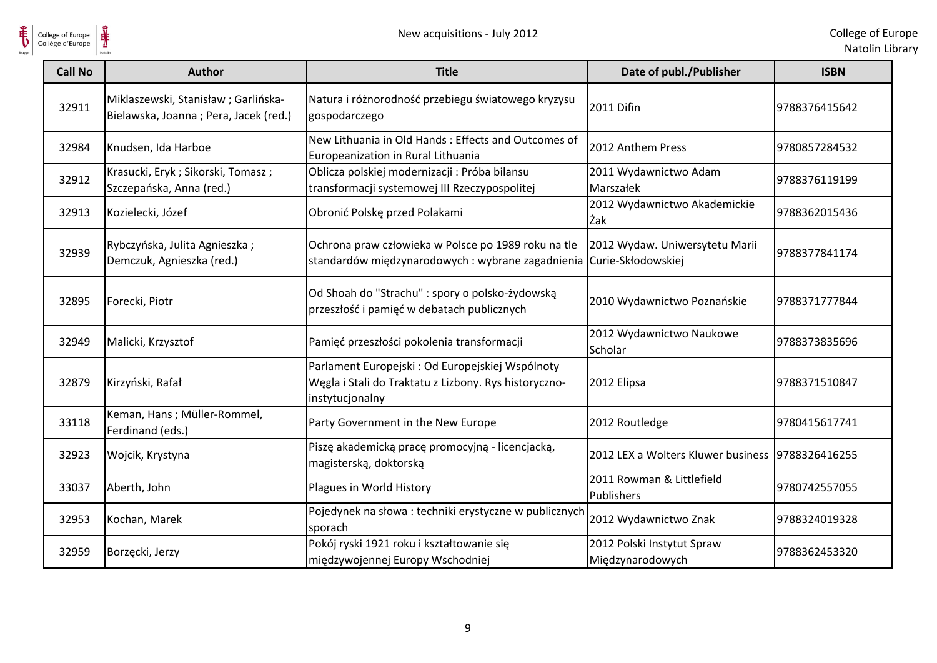

| <b>Call No</b> | <b>Author</b>                                                                | <b>Title</b>                                                                                                                 | Date of publ./Publisher                            | <b>ISBN</b>   |
|----------------|------------------------------------------------------------------------------|------------------------------------------------------------------------------------------------------------------------------|----------------------------------------------------|---------------|
| 32911          | Miklaszewski, Stanisław; Garlińska-<br>Bielawska, Joanna; Pera, Jacek (red.) | Natura i różnorodność przebiegu światowego kryzysu<br>gospodarczego                                                          | 2011 Difin                                         | 9788376415642 |
| 32984          | Knudsen, Ida Harboe                                                          | New Lithuania in Old Hands: Effects and Outcomes of<br>Europeanization in Rural Lithuania                                    | 2012 Anthem Press                                  | 9780857284532 |
| 32912          | Krasucki, Eryk; Sikorski, Tomasz;<br>Szczepańska, Anna (red.)                | Oblicza polskiej modernizacji: Próba bilansu<br>transformacji systemowej III Rzeczypospolitej                                | 2011 Wydawnictwo Adam<br>Marszałek                 | 9788376119199 |
| 32913          | Kozielecki, Józef                                                            | Obronić Polskę przed Polakami                                                                                                | 2012 Wydawnictwo Akademickie<br>Żak                | 9788362015436 |
| 32939          | Rybczyńska, Julita Agnieszka;<br>Demczuk, Agnieszka (red.)                   | Ochrona praw człowieka w Polsce po 1989 roku na tle<br>standardów międzynarodowych: wybrane zagadnienia Curie-Skłodowskiej   | 2012 Wydaw. Uniwersytetu Marii                     | 9788377841174 |
| 32895          | Forecki, Piotr                                                               | Od Shoah do "Strachu" : spory o polsko-żydowską<br>przeszłość i pamięć w debatach publicznych                                | 2010 Wydawnictwo Poznańskie                        | 9788371777844 |
| 32949          | Malicki, Krzysztof                                                           | Pamięć przeszłości pokolenia transformacji                                                                                   | 2012 Wydawnictwo Naukowe<br>Scholar                | 9788373835696 |
| 32879          | Kirzyński, Rafał                                                             | Parlament Europejski : Od Europejskiej Wspólnoty<br>Węgla i Stali do Traktatu z Lizbony. Rys historyczno-<br>instytucjonalny | 2012 Elipsa                                        | 9788371510847 |
| 33118          | Keman, Hans; Müller-Rommel,<br>Ferdinand (eds.)                              | Party Government in the New Europe                                                                                           | 2012 Routledge                                     | 9780415617741 |
| 32923          | Wojcik, Krystyna                                                             | Piszę akademicką pracę promocyjną - licencjacką,<br>magisterską, doktorską                                                   | 2012 LEX a Wolters Kluwer business   9788326416255 |               |
| 33037          | Aberth, John                                                                 | Plagues in World History                                                                                                     | 2011 Rowman & Littlefield<br>Publishers            | 9780742557055 |
| 32953          | Kochan, Marek                                                                | Pojedynek na słowa : techniki erystyczne w publicznych<br>sporach                                                            | 2012 Wydawnictwo Znak                              | 9788324019328 |
| 32959          | Borzęcki, Jerzy                                                              | Pokój ryski 1921 roku i kształtowanie się<br>międzywojennej Europy Wschodniej                                                | 2012 Polski Instytut Spraw<br>Międzynarodowych     | 9788362453320 |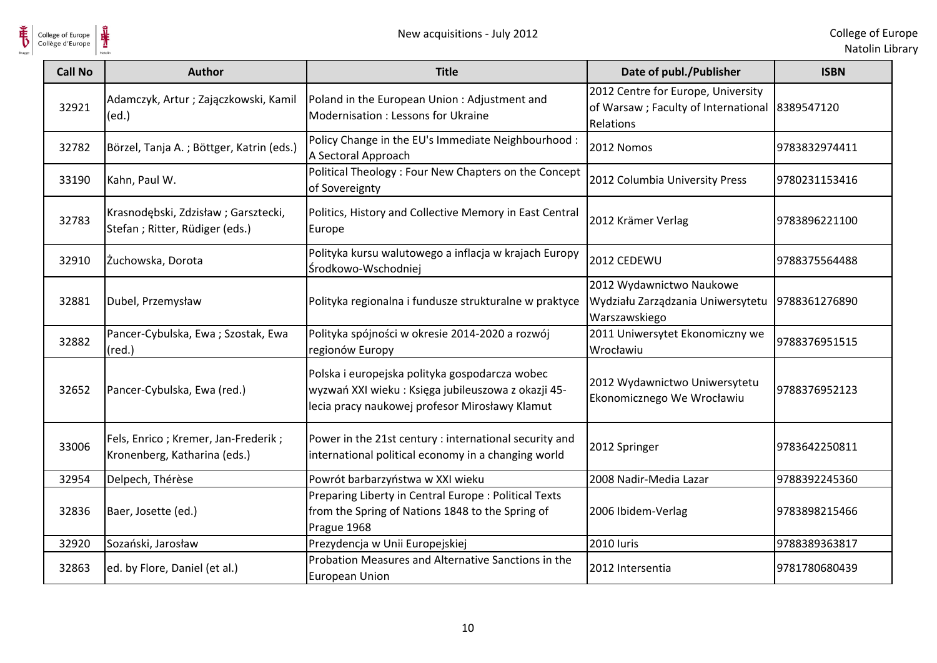

 $\frac{1}{\frac{1}{\sqrt{2}}}\sum_{\text{National}}$ 

| <b>Call No</b> | <b>Author</b>                                                         | <b>Title</b>                                                                                                                                           | Date of publ./Publisher                                                                           | <b>ISBN</b>   |
|----------------|-----------------------------------------------------------------------|--------------------------------------------------------------------------------------------------------------------------------------------------------|---------------------------------------------------------------------------------------------------|---------------|
| 32921          | Adamczyk, Artur; Zajączkowski, Kamil<br>(ed.)                         | Poland in the European Union: Adjustment and<br>Modernisation: Lessons for Ukraine                                                                     | 2012 Centre for Europe, University<br>of Warsaw; Faculty of International 8389547120<br>Relations |               |
| 32782          | Börzel, Tanja A.; Böttger, Katrin (eds.)                              | Policy Change in the EU's Immediate Neighbourhood :<br>A Sectoral Approach                                                                             | 2012 Nomos                                                                                        | 9783832974411 |
| 33190          | Kahn, Paul W.                                                         | Political Theology: Four New Chapters on the Concept<br>of Sovereignty                                                                                 | 2012 Columbia University Press                                                                    | 9780231153416 |
| 32783          | Krasnodębski, Zdzisław; Garsztecki,<br>Stefan; Ritter, Rüdiger (eds.) | Politics, History and Collective Memory in East Central<br>Europe                                                                                      | 2012 Krämer Verlag                                                                                | 9783896221100 |
| 32910          | Żuchowska, Dorota                                                     | Polityka kursu walutowego a inflacja w krajach Europy<br>Środkowo-Wschodniej                                                                           | 2012 CEDEWU                                                                                       | 9788375564488 |
| 32881          | Dubel, Przemysław                                                     | Polityka regionalna i fundusze strukturalne w praktyce                                                                                                 | 2012 Wydawnictwo Naukowe<br>Wydziału Zarządzania Uniwersytetu<br>Warszawskiego                    | 9788361276890 |
| 32882          | Pancer-Cybulska, Ewa; Szostak, Ewa<br>$(\text{red.})$                 | Polityka spójności w okresie 2014-2020 a rozwój<br>regionów Europy                                                                                     | 2011 Uniwersytet Ekonomiczny we<br>Wrocławiu                                                      | 9788376951515 |
| 32652          | Pancer-Cybulska, Ewa (red.)                                           | Polska i europejska polityka gospodarcza wobec<br>wyzwań XXI wieku: Księga jubileuszowa z okazji 45-<br>lecia pracy naukowej profesor Mirosławy Klamut | 2012 Wydawnictwo Uniwersytetu<br>Ekonomicznego We Wrocławiu                                       | 9788376952123 |
| 33006          | Fels, Enrico; Kremer, Jan-Frederik;<br>Kronenberg, Katharina (eds.)   | Power in the 21st century : international security and<br>international political economy in a changing world                                          | 2012 Springer                                                                                     | 9783642250811 |
| 32954          | Delpech, Thérèse                                                      | Powrót barbarzyństwa w XXI wieku                                                                                                                       | 2008 Nadir-Media Lazar                                                                            | 9788392245360 |
| 32836          | Baer, Josette (ed.)                                                   | Preparing Liberty in Central Europe : Political Texts<br>from the Spring of Nations 1848 to the Spring of<br>Prague 1968                               | 2006 Ibidem-Verlag                                                                                | 9783898215466 |
| 32920          | Sozański, Jarosław                                                    | Prezydencja w Unii Europejskiej                                                                                                                        | 2010 luris                                                                                        | 9788389363817 |
| 32863          | ed. by Flore, Daniel (et al.)                                         | Probation Measures and Alternative Sanctions in the<br><b>European Union</b>                                                                           | 2012 Intersentia                                                                                  | 9781780680439 |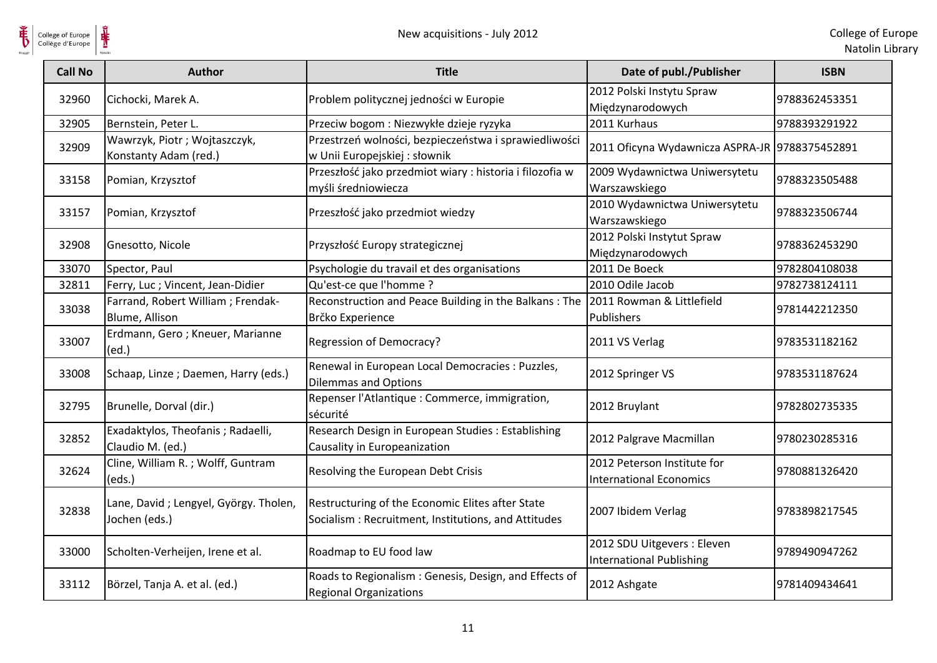

| <b>Call No</b> | <b>Author</b>                                          | <b>Title</b>                                                                                            | Date of publ./Publisher                                        | <b>ISBN</b>   |
|----------------|--------------------------------------------------------|---------------------------------------------------------------------------------------------------------|----------------------------------------------------------------|---------------|
| 32960          | Cichocki, Marek A.                                     | Problem politycznej jedności w Europie                                                                  | 2012 Polski Instytu Spraw<br>Międzynarodowych                  | 9788362453351 |
| 32905          | Bernstein, Peter L.                                    | Przeciw bogom : Niezwykłe dzieje ryzyka                                                                 | 2011 Kurhaus                                                   | 9788393291922 |
| 32909          | Wawrzyk, Piotr; Wojtaszczyk,<br>Konstanty Adam (red.)  | Przestrzeń wolności, bezpieczeństwa i sprawiedliwości<br>w Unii Europejskiej : słownik                  | 2011 Oficyna Wydawnicza ASPRA-JR 9788375452891                 |               |
| 33158          | Pomian, Krzysztof                                      | Przeszłość jako przedmiot wiary : historia i filozofia w<br>myśli średniowiecza                         | 2009 Wydawnictwa Uniwersytetu<br>Warszawskiego                 | 9788323505488 |
| 33157          | Pomian, Krzysztof                                      | Przeszłość jako przedmiot wiedzy                                                                        | 2010 Wydawnictwa Uniwersytetu<br>Warszawskiego                 | 9788323506744 |
| 32908          | Gnesotto, Nicole                                       | Przyszłość Europy strategicznej                                                                         | 2012 Polski Instytut Spraw<br>Międzynarodowych                 | 9788362453290 |
| 33070          | Spector, Paul                                          | Psychologie du travail et des organisations                                                             | 2011 De Boeck                                                  | 9782804108038 |
| 32811          | Ferry, Luc ; Vincent, Jean-Didier                      | Qu'est-ce que l'homme ?                                                                                 | 2010 Odile Jacob                                               | 9782738124111 |
| 33038          | Farrand, Robert William; Frendak-<br>Blume, Allison    | Reconstruction and Peace Building in the Balkans: The<br>Brčko Experience                               | 2011 Rowman & Littlefield<br>Publishers                        | 9781442212350 |
| 33007          | Erdmann, Gero; Kneuer, Marianne<br>(ed.)               | Regression of Democracy?                                                                                | 2011 VS Verlag                                                 | 9783531182162 |
| 33008          | Schaap, Linze; Daemen, Harry (eds.)                    | Renewal in European Local Democracies : Puzzles,<br><b>Dilemmas and Options</b>                         | 2012 Springer VS                                               | 9783531187624 |
| 32795          | Brunelle, Dorval (dir.)                                | Repenser l'Atlantique : Commerce, immigration,<br>sécurité                                              | 2012 Bruylant                                                  | 9782802735335 |
| 32852          | Exadaktylos, Theofanis; Radaelli,<br>Claudio M. (ed.)  | Research Design in European Studies : Establishing<br>Causality in Europeanization                      | 2012 Palgrave Macmillan                                        | 9780230285316 |
| 32624          | Cline, William R.; Wolff, Guntram<br>(eds.)            | Resolving the European Debt Crisis                                                                      | 2012 Peterson Institute for<br><b>International Economics</b>  | 9780881326420 |
| 32838          | Lane, David; Lengyel, György. Tholen,<br>Jochen (eds.) | Restructuring of the Economic Elites after State<br>Socialism: Recruitment, Institutions, and Attitudes | 2007 Ibidem Verlag                                             | 9783898217545 |
| 33000          | Scholten-Verheijen, Irene et al.                       | Roadmap to EU food law                                                                                  | 2012 SDU Uitgevers : Eleven<br><b>International Publishing</b> | 9789490947262 |
| 33112          | Börzel, Tanja A. et al. (ed.)                          | Roads to Regionalism : Genesis, Design, and Effects of<br><b>Regional Organizations</b>                 | 2012 Ashgate                                                   | 9781409434641 |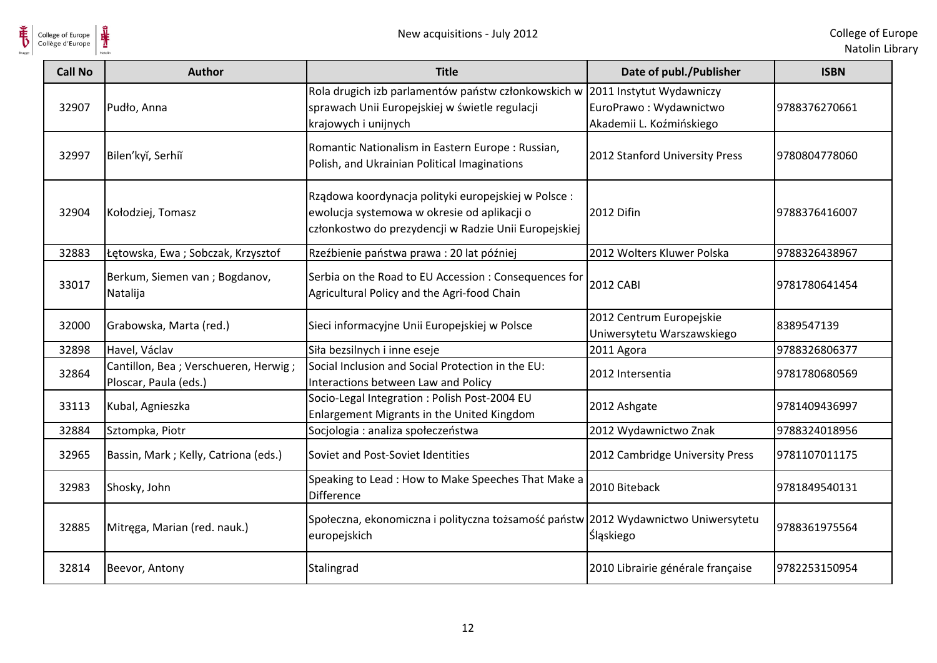

| <b>Call No</b> | <b>Author</b>                                                 | <b>Title</b>                                                                                                                                                | Date of publ./Publisher                                | <b>ISBN</b>   |
|----------------|---------------------------------------------------------------|-------------------------------------------------------------------------------------------------------------------------------------------------------------|--------------------------------------------------------|---------------|
| 32907          | Pudło, Anna                                                   | Rola drugich izb parlamentów państw członkowskich w 2011 Instytut Wydawniczy<br>sprawach Unii Europejskiej w świetle regulacji<br>krajowych i unijnych      | EuroPrawo: Wydawnictwo<br>Akademii L. Koźmińskiego     | 9788376270661 |
| 32997          | Bilen'kyĭ, Serhiĭ                                             | Romantic Nationalism in Eastern Europe: Russian,<br>Polish, and Ukrainian Political Imaginations                                                            | 2012 Stanford University Press                         | 9780804778060 |
| 32904          | Kołodziej, Tomasz                                             | Rządowa koordynacja polityki europejskiej w Polsce:<br>ewolucja systemowa w okresie od aplikacji o<br>członkostwo do prezydencji w Radzie Unii Europejskiej | <b>2012 Difin</b>                                      | 9788376416007 |
| 32883          | Łętowska, Ewa; Sobczak, Krzysztof                             | Rzeźbienie państwa prawa: 20 lat później                                                                                                                    | 2012 Wolters Kluwer Polska                             | 9788326438967 |
| 33017          | Berkum, Siemen van ; Bogdanov,<br>Natalija                    | Serbia on the Road to EU Accession : Consequences for<br>Agricultural Policy and the Agri-food Chain                                                        | <b>2012 CABI</b>                                       | 9781780641454 |
| 32000          | Grabowska, Marta (red.)                                       | Sieci informacyjne Unii Europejskiej w Polsce                                                                                                               | 2012 Centrum Europejskie<br>Uniwersytetu Warszawskiego | 8389547139    |
| 32898          | Havel, Václav                                                 | Siła bezsilnych i inne eseje                                                                                                                                | 2011 Agora                                             | 9788326806377 |
| 32864          | Cantillon, Bea; Verschueren, Herwig;<br>Ploscar, Paula (eds.) | Social Inclusion and Social Protection in the EU:<br>Interactions between Law and Policy                                                                    | 2012 Intersentia                                       | 9781780680569 |
| 33113          | Kubal, Agnieszka                                              | Socio-Legal Integration : Polish Post-2004 EU<br>Enlargement Migrants in the United Kingdom                                                                 | 2012 Ashgate                                           | 9781409436997 |
| 32884          | Sztompka, Piotr                                               | Socjologia : analiza społeczeństwa                                                                                                                          | 2012 Wydawnictwo Znak                                  | 9788324018956 |
| 32965          | Bassin, Mark; Kelly, Catriona (eds.)                          | Soviet and Post-Soviet Identities                                                                                                                           | 2012 Cambridge University Press                        | 9781107011175 |
| 32983          | Shosky, John                                                  | Speaking to Lead: How to Make Speeches That Make a<br>Difference                                                                                            | 2010 Biteback                                          | 9781849540131 |
| 32885          | Mitręga, Marian (red. nauk.)                                  | Społeczna, ekonomiczna i polityczna tożsamość państw 2012 Wydawnictwo Uniwersytetu<br>europejskich                                                          | <b>Śląskiego</b>                                       | 9788361975564 |
| 32814          | Beevor, Antony                                                | Stalingrad                                                                                                                                                  | 2010 Librairie générale française                      | 9782253150954 |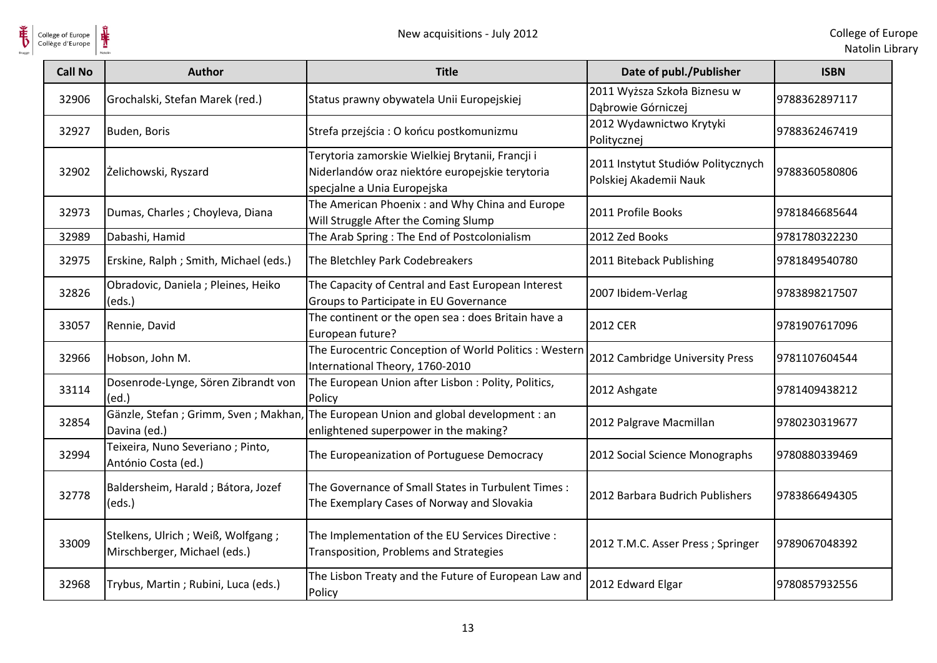

| College of Europe<br>Collège d'Europe |                                                                     | New acquisitions - July 2012                                                                                                       |                                                              | College of Eur<br>Natolin Lib |
|---------------------------------------|---------------------------------------------------------------------|------------------------------------------------------------------------------------------------------------------------------------|--------------------------------------------------------------|-------------------------------|
| <b>Call No</b>                        | <b>Author</b>                                                       | <b>Title</b>                                                                                                                       | Date of publ./Publisher                                      | <b>ISBN</b>                   |
| 32906                                 | Grochalski, Stefan Marek (red.)                                     | Status prawny obywatela Unii Europejskiej                                                                                          | 2011 Wyższa Szkoła Biznesu w<br>Dąbrowie Górniczej           | 9788362897117                 |
| 32927                                 | Buden, Boris                                                        | Strefa przejścia: O końcu postkomunizmu                                                                                            | 2012 Wydawnictwo Krytyki<br>Politycznej                      | 9788362467419                 |
| 32902                                 | Żelichowski, Ryszard                                                | Terytoria zamorskie Wielkiej Brytanii, Francji i<br>Niderlandów oraz niektóre europejskie terytoria<br>specjalne a Unia Europejska | 2011 Instytut Studiów Politycznych<br>Polskiej Akademii Nauk | 9788360580806                 |
| 32973                                 | Dumas, Charles ; Choyleva, Diana                                    | The American Phoenix: and Why China and Europe<br>Will Struggle After the Coming Slump                                             | 2011 Profile Books                                           | 9781846685644                 |
| 32989                                 | Dabashi, Hamid                                                      | The Arab Spring: The End of Postcolonialism                                                                                        | 2012 Zed Books                                               | 9781780322230                 |
| 32975                                 | Erskine, Ralph; Smith, Michael (eds.)                               | The Bletchley Park Codebreakers                                                                                                    | 2011 Biteback Publishing                                     | 9781849540780                 |
| 32826                                 | Obradovic, Daniela ; Pleines, Heiko<br>(eds.)                       | The Capacity of Central and East European Interest<br>Groups to Participate in EU Governance                                       | 2007 Ibidem-Verlag                                           | 9783898217507                 |
| 33057                                 | Rennie, David                                                       | The continent or the open sea : does Britain have a<br>European future?                                                            | 2012 CER                                                     | 9781907617096                 |
| 32966                                 | Hobson, John M.                                                     | The Eurocentric Conception of World Politics: Western<br>International Theory, 1760-2010                                           | 2012 Cambridge University Press                              | 9781107604544                 |
| 33114                                 | Dosenrode-Lynge, Sören Zibrandt von<br>(ed.)                        | The European Union after Lisbon : Polity, Politics,<br>Policy                                                                      | 2012 Ashgate                                                 | 9781409438212                 |
| 32854                                 | Gänzle, Stefan; Grimm, Sven; Makhan,<br>Davina (ed.)                | The European Union and global development : an<br>enlightened superpower in the making?                                            | 2012 Palgrave Macmillan                                      | 9780230319677                 |
| 32994                                 | Teixeira, Nuno Severiano; Pinto,<br>António Costa (ed.)             | The Europeanization of Portuguese Democracy                                                                                        | 2012 Social Science Monographs                               | 9780880339469                 |
| 32778                                 | Baldersheim, Harald ; Bátora, Jozef<br>(eds.)                       | The Governance of Small States in Turbulent Times:<br>The Exemplary Cases of Norway and Slovakia                                   | 2012 Barbara Budrich Publishers                              | 9783866494305                 |
| 33009                                 | Stelkens, Ulrich ; Weiß, Wolfgang ;<br>Mirschberger, Michael (eds.) | The Implementation of the EU Services Directive :<br>Transposition, Problems and Strategies                                        | 2012 T.M.C. Asser Press ; Springer                           | 9789067048392                 |
| 32968                                 | Trybus, Martin; Rubini, Luca (eds.)                                 | The Lisbon Treaty and the Future of European Law and<br>Policy                                                                     | 2012 Edward Elgar                                            | 9780857932556                 |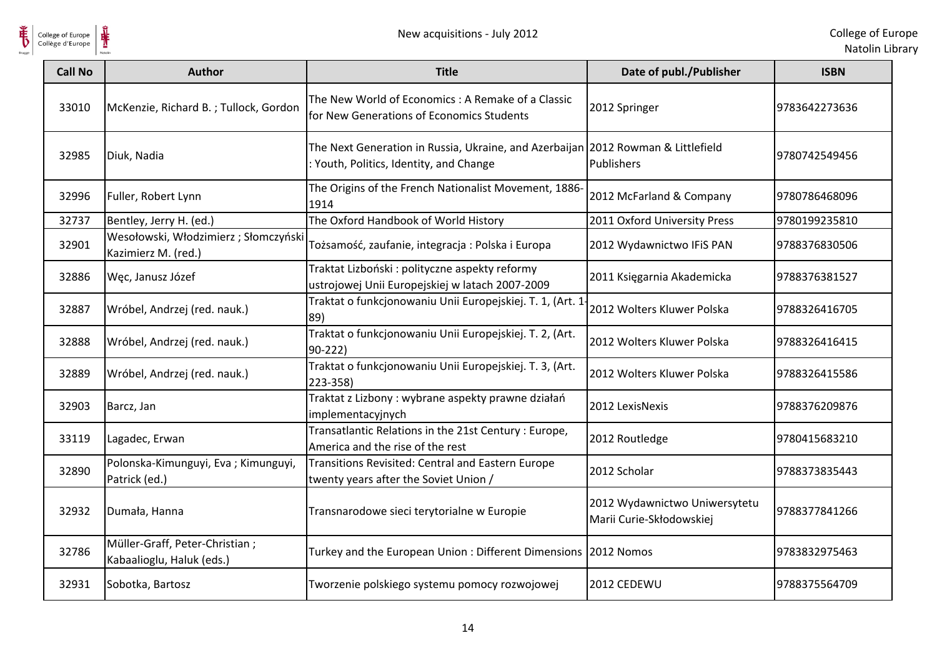



| College of Europe<br>Collège d'Europe | New acquisitions - July 2012                                |                                                                                                                             |                                                           | College of Eur<br>Natolin Lib |
|---------------------------------------|-------------------------------------------------------------|-----------------------------------------------------------------------------------------------------------------------------|-----------------------------------------------------------|-------------------------------|
| <b>Call No</b>                        | <b>Author</b>                                               | <b>Title</b>                                                                                                                | Date of publ./Publisher                                   | <b>ISBN</b>                   |
| 33010                                 | McKenzie, Richard B.; Tullock, Gordon                       | The New World of Economics : A Remake of a Classic<br>for New Generations of Economics Students                             | 2012 Springer                                             | 9783642273636                 |
| 32985                                 | Diuk, Nadia                                                 | The Next Generation in Russia, Ukraine, and Azerbaijan 2012 Rowman & Littlefield<br>: Youth, Politics, Identity, and Change | <b>Publishers</b>                                         | 9780742549456                 |
| 32996                                 | Fuller, Robert Lynn                                         | The Origins of the French Nationalist Movement, 1886-<br>1914                                                               | 2012 McFarland & Company                                  | 9780786468096                 |
| 32737                                 | Bentley, Jerry H. (ed.)                                     | The Oxford Handbook of World History                                                                                        | 2011 Oxford University Press                              | 9780199235810                 |
| 32901                                 | Wesołowski, Włodzimierz; Słomczyński<br>Kazimierz M. (red.) | Tożsamość, zaufanie, integracja: Polska i Europa                                                                            | 2012 Wydawnictwo IFIS PAN                                 | 9788376830506                 |
| 32886                                 | Węc, Janusz Józef                                           | Traktat Lizboński: polityczne aspekty reformy<br>ustrojowej Unii Europejskiej w latach 2007-2009                            | 2011 Księgarnia Akademicka                                | 9788376381527                 |
| 32887                                 | Wróbel, Andrzej (red. nauk.)                                | Traktat o funkcjonowaniu Unii Europejskiej. T. 1, (Art. 1<br>89)                                                            | 2012 Wolters Kluwer Polska                                | 9788326416705                 |
| 32888                                 | Wróbel, Andrzej (red. nauk.)                                | Traktat o funkcjonowaniu Unii Europejskiej. T. 2, (Art.<br>$90 - 222$                                                       | 2012 Wolters Kluwer Polska                                | 9788326416415                 |
| 32889                                 | Wróbel, Andrzej (red. nauk.)                                | Traktat o funkcjonowaniu Unii Europejskiej. T. 3, (Art.<br>223-358)                                                         | 2012 Wolters Kluwer Polska                                | 9788326415586                 |
| 32903                                 | Barcz, Jan                                                  | Traktat z Lizbony : wybrane aspekty prawne działań<br>implementacyjnych                                                     | 2012 LexisNexis                                           | 9788376209876                 |
| 33119                                 | Lagadec, Erwan                                              | Transatlantic Relations in the 21st Century : Europe,<br>America and the rise of the rest                                   | 2012 Routledge                                            | 9780415683210                 |
| 32890                                 | Polonska-Kimunguyi, Eva; Kimunguyi,<br>Patrick (ed.)        | Transitions Revisited: Central and Eastern Europe<br>twenty years after the Soviet Union /                                  | 2012 Scholar                                              | 9788373835443                 |
| 32932                                 | Dumała, Hanna                                               | Transnarodowe sieci terytorialne w Europie                                                                                  | 2012 Wydawnictwo Uniwersytetu<br>Marii Curie-Skłodowskiej | 9788377841266                 |
| 32786                                 | Müller-Graff, Peter-Christian;<br>Kabaalioglu, Haluk (eds.) | Turkey and the European Union: Different Dimensions 2012 Nomos                                                              |                                                           | 9783832975463                 |
| 32931                                 | Sobotka, Bartosz                                            | Tworzenie polskiego systemu pomocy rozwojowej                                                                               | 2012 CEDEWU                                               | 9788375564709                 |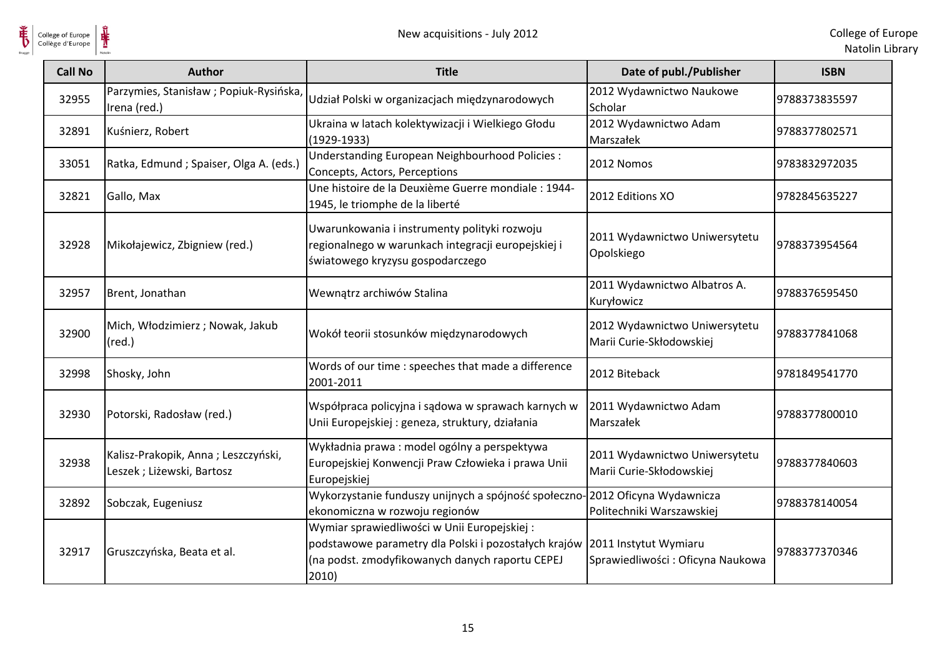



| <b>Call No</b> | <b>Author</b>                                                    | <b>Title</b>                                                                                                                                                                          | Date of publ./Publisher                                   | <b>ISBN</b>   |
|----------------|------------------------------------------------------------------|---------------------------------------------------------------------------------------------------------------------------------------------------------------------------------------|-----------------------------------------------------------|---------------|
| 32955          | Parzymies, Stanisław; Popiuk-Rysińska,<br>Irena (red.)           | Udział Polski w organizacjach międzynarodowych                                                                                                                                        | 2012 Wydawnictwo Naukowe<br>Scholar                       | 9788373835597 |
| 32891          | Kuśnierz, Robert                                                 | Ukraina w latach kolektywizacji i Wielkiego Głodu<br>$(1929-1933)$                                                                                                                    | 2012 Wydawnictwo Adam<br>Marszałek                        | 9788377802571 |
| 33051          | Ratka, Edmund ; Spaiser, Olga A. (eds.)                          | Understanding European Neighbourhood Policies :<br>Concepts, Actors, Perceptions                                                                                                      | 2012 Nomos                                                | 9783832972035 |
| 32821          | Gallo, Max                                                       | Une histoire de la Deuxième Guerre mondiale : 1944-<br>1945, le triomphe de la liberté                                                                                                | 2012 Editions XO                                          | 9782845635227 |
| 32928          | Mikołajewicz, Zbigniew (red.)                                    | Uwarunkowania i instrumenty polityki rozwoju<br>regionalnego w warunkach integracji europejskiej i<br>światowego kryzysu gospodarczego                                                | 2011 Wydawnictwo Uniwersytetu<br>Opolskiego               | 9788373954564 |
| 32957          | Brent, Jonathan                                                  | Wewnątrz archiwów Stalina                                                                                                                                                             | 2011 Wydawnictwo Albatros A.<br>Kuryłowicz                | 9788376595450 |
| 32900          | Mich, Włodzimierz; Nowak, Jakub<br>$(\text{red.})$               | Wokół teorii stosunków międzynarodowych                                                                                                                                               | 2012 Wydawnictwo Uniwersytetu<br>Marii Curie-Skłodowskiej | 9788377841068 |
| 32998          | Shosky, John                                                     | Words of our time : speeches that made a difference<br>2001-2011                                                                                                                      | 2012 Biteback                                             | 9781849541770 |
| 32930          | Potorski, Radosław (red.)                                        | Współpraca policyjna i sądowa w sprawach karnych w<br>Unii Europejskiej : geneza, struktury, działania                                                                                | 2011 Wydawnictwo Adam<br>Marszałek                        | 9788377800010 |
| 32938          | Kalisz-Prakopik, Anna; Leszczyński,<br>Leszek; Liżewski, Bartosz | Wykładnia prawa: model ogólny a perspektywa<br>Europejskiej Konwencji Praw Człowieka i prawa Unii<br>Europejskiej                                                                     | 2011 Wydawnictwo Uniwersytetu<br>Marii Curie-Skłodowskiej | 9788377840603 |
| 32892          | Sobczak, Eugeniusz                                               | Wykorzystanie funduszy unijnych a spójność społeczno-2012 Oficyna Wydawnicza<br>ekonomiczna w rozwoju regionów                                                                        | Politechniki Warszawskiej                                 | 9788378140054 |
| 32917          | Gruszczyńska, Beata et al.                                       | Wymiar sprawiedliwości w Unii Europejskiej:<br>podstawowe parametry dla Polski i pozostałych krajów 2011 Instytut Wymiaru<br>(na podst. zmodyfikowanych danych raportu CEPEJ<br>2010) | Sprawiedliwości: Oficyna Naukowa                          | 9788377370346 |